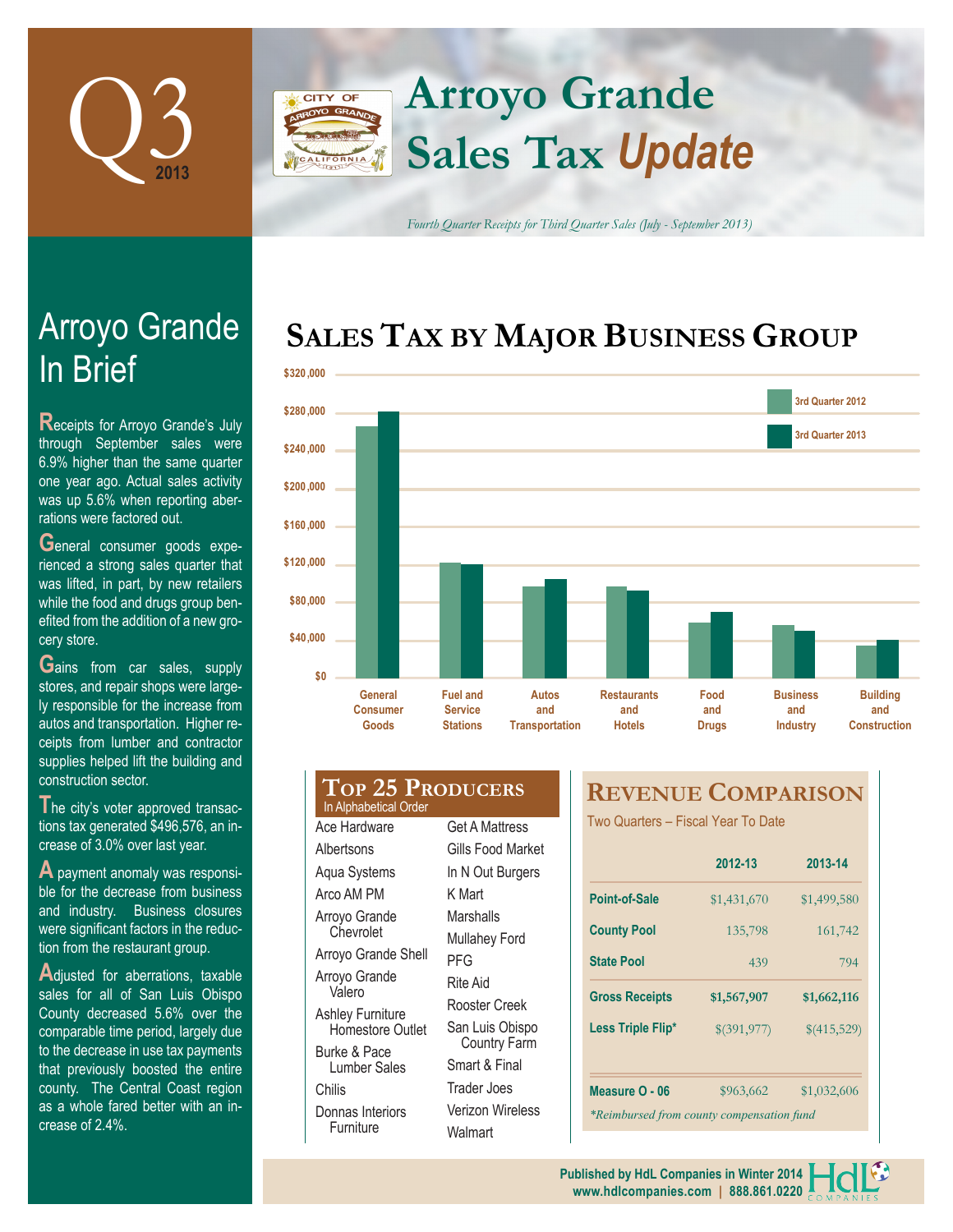

## **Arroyo Grande CITY OF Sales Tax** *Update*

*Fourth Quarter Receipts for Third Quarter Sales (July - September 2013)*

# **SALES TAX BY MAJOR BUSINESS GROUP**



# In Brief Arroyo Grande

**R**eceipts for Arroyo Grande's July through September sales were 6.9% higher than the same quarter one year ago. Actual sales activity was up 5.6% when reporting aberrations were factored out.

General consumer goods experienced a strong sales quarter that was lifted, in part, by new retailers while the food and drugs group benefited from the addition of a new grocery store.

**G**ains from car sales, supply stores, and repair shops were largely responsible for the increase from autos and transportation. Higher receipts from lumber and contractor supplies helped lift the building and construction sector.

The city's voter approved transactions tax generated \$496,576, an increase of 3.0% over last year.

**A** payment anomaly was responsible for the decrease from business and industry. Business closures were significant factors in the reduction from the restaurant group.

**A**djusted for aberrations, taxable sales for all of San Luis Obispo County decreased 5.6% over the comparable time period, largely due to the decrease in use tax payments that previously boosted the entire county. The Central Coast region as a whole fared better with an increase of 2.4%.

#### **Top 25 Producers** Ace Hardware **Albertsons** Aqua Systems Arco AM PM Arroyo Grande **Chevrolet** Arroyo Grande Shell Arroyo Grande Valero K Mart **Marshalls** Mullahey Ford PFG In Alphabetical Order

Ashley Furniture Homestore Outlet Burke & Pace Lumber Sales Donnas Interiors Furniture

Chilis

Get A Mattress Gills Food Market In N Out Burgers Rite Aid Rooster Creek San Luis Obispo Country Farm Smart & Final Trader Joes Verizon Wireless **Walmart** 

## **REVENUE COMPARISON**

Two Quarters – Fiscal Year To Date

|                                           | 2012-13     | 2013-14     |  |  |  |  |
|-------------------------------------------|-------------|-------------|--|--|--|--|
| Point-of-Sale                             | \$1,431,670 | \$1,499,580 |  |  |  |  |
| <b>County Pool</b>                        | 135,798     | 161,742     |  |  |  |  |
| <b>State Pool</b>                         | 439         | 794         |  |  |  |  |
| <b>Gross Receipts</b>                     | \$1,567,907 | \$1,662,116 |  |  |  |  |
| Less Triple Flip*                         | \$(391,977) | \$(415,529) |  |  |  |  |
|                                           |             |             |  |  |  |  |
| Measure O - 06                            | \$963,662   | \$1,032,606 |  |  |  |  |
| *Reimbursed from county compensation fund |             |             |  |  |  |  |

**www.hdlcompanies.com | 888.861.0220 Published by HdL Companies in Winter 2014**